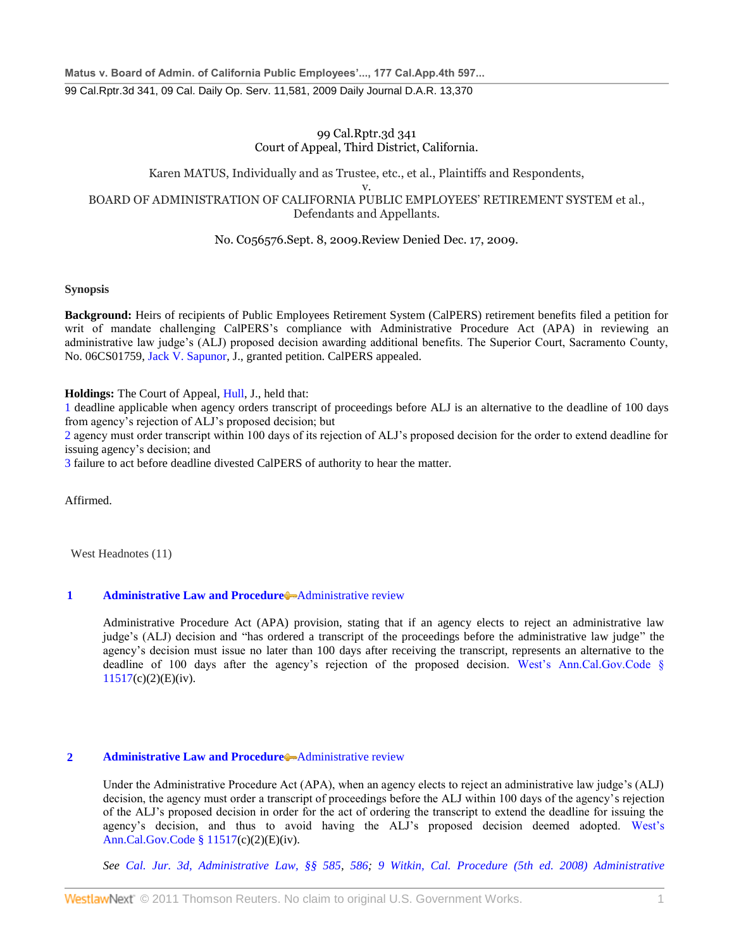# 99 Cal.Rptr.3d 341 Court of Appeal, Third District, California.

## Karen MATUS, Individually and as Trustee, etc., et al., Plaintiffs and Respondents, v.

## BOARD OF ADMINISTRATION OF CALIFORNIA PUBLIC EMPLOYEES' RETIREMENT SYSTEM et al., Defendants and Appellants.

# No. C056576.Sept. 8, 2009.Review Denied Dec. 17, 2009.

## **Synopsis**

**Background:** Heirs of recipients of Public Employees Retirement System (CalPERS) retirement benefits filed a petition for writ of mandate challenging CalPERS's compliance with Administrative Procedure Act (APA) in reviewing an administrative law judge's (ALJ) proposed decision awarding additional benefits. The Superior Court, Sacramento County, No. 06CS01759, [Jack V. Sapunor,](http://www.westlaw.com/Link/Document/FullText?findType=h&pubNum=176284&cite=0230655001&originatingDoc=I824da0039ce611de8bf6cd8525c41437&refType=RQ&originationContext=document&vr=3.0&rs=cblt1.0&transitionType=DocumentItem&contextData=(sc.UserEnteredCitation)) J., granted petition. CalPERS appealed.

**Holdings:** The Court of Appeal, [Hull,](http://www.westlaw.com/Link/Document/FullText?findType=h&pubNum=176284&cite=0201358401&originatingDoc=I824da0039ce611de8bf6cd8525c41437&refType=RQ&originationContext=document&vr=3.0&rs=cblt1.0&transitionType=DocumentItem&contextData=(sc.UserEnteredCitation)) J., held that:

1 deadline applicable when agency orders transcript of proceedings before ALJ is an alternative to the deadline of 100 days from agency's rejection of ALJ's proposed decision; but

2 agency must order transcript within 100 days of its rejection of ALJ's proposed decision for the order to extend deadline for issuing agency's decision; and

3 failure to act before deadline divested CalPERS of authority to hear the matter.

Affirmed.

West Headnotes (11)

# **1 [Administrative Law and Procedure](http://www.westlaw.com/Browse/Home/KeyNumber/15A/View.html?docGuid=I824da0039ce611de8bf6cd8525c41437&originationContext=document&vr=3.0&rs=cblt1.0&transitionType=DocumentItem&contextData=(sc.UserEnteredCitation))** [Administrative review](http://www.westlaw.com/Browse/Home/KeyNumber/15Ak513/View.html?docGuid=I824da0039ce611de8bf6cd8525c41437&originationContext=document&vr=3.0&rs=cblt1.0&transitionType=DocumentItem&contextData=(sc.UserEnteredCitation))

Administrative Procedure Act (APA) provision, stating that if an agency elects to reject an administrative law judge's (ALJ) decision and "has ordered a transcript of the proceedings before the administrative law judge" the agency's decision must issue no later than 100 days after receiving the transcript, represents an alternative to the deadline of 100 days after the agency's rejection of the proposed decision. [West's Ann.Cal.Gov.Code §](http://www.westlaw.com/Link/Document/FullText?findType=L&pubNum=1000211&cite=CAGTS11517&originatingDoc=I824da0039ce611de8bf6cd8525c41437&refType=LQ&originationContext=document&vr=3.0&rs=cblt1.0&transitionType=DocumentItem&contextData=(sc.UserEnteredCitation))   $11517(c)(2)(E)(iv).$  $11517(c)(2)(E)(iv).$ 

# **2 [Administrative Law and Procedure](http://www.westlaw.com/Browse/Home/KeyNumber/15A/View.html?docGuid=I824da0039ce611de8bf6cd8525c41437&originationContext=document&vr=3.0&rs=cblt1.0&transitionType=DocumentItem&contextData=(sc.UserEnteredCitation))** [Administrative review](http://www.westlaw.com/Browse/Home/KeyNumber/15Ak513/View.html?docGuid=I824da0039ce611de8bf6cd8525c41437&originationContext=document&vr=3.0&rs=cblt1.0&transitionType=DocumentItem&contextData=(sc.UserEnteredCitation))

Under the Administrative Procedure Act (APA), when an agency elects to reject an administrative law judge's (ALJ) decision, the agency must order a transcript of proceedings before the ALJ within 100 days of the agency's rejection of the ALJ's proposed decision in order for the act of ordering the transcript to extend the deadline for issuing the agency's decision, and thus to avoid having the ALJ's proposed decision deemed adopted. [West's](http://www.westlaw.com/Link/Document/FullText?findType=L&pubNum=1000211&cite=CAGTS11517&originatingDoc=I824da0039ce611de8bf6cd8525c41437&refType=LQ&originationContext=document&vr=3.0&rs=cblt1.0&transitionType=DocumentItem&contextData=(sc.UserEnteredCitation))  [Ann.Cal.Gov.Code](http://www.westlaw.com/Link/Document/FullText?findType=L&pubNum=1000211&cite=CAGTS11517&originatingDoc=I824da0039ce611de8bf6cd8525c41437&refType=LQ&originationContext=document&vr=3.0&rs=cblt1.0&transitionType=DocumentItem&contextData=(sc.UserEnteredCitation)) § 11517(c)(2)(E)(iv).

*See Cal. Jur. 3d, [Administrative Law, §§ 585,](http://www.westlaw.com/Link/Document/FullText?findType=Y&serNum=0284100974&pubNum=0122339&originationContext=document&vr=3.0&rs=cblt1.0&transitionType=DocumentItem&contextData=(sc.UserEnteredCitation)) [586;](http://www.westlaw.com/Link/Document/FullText?findType=Y&serNum=0284100976&pubNum=0122339&originationContext=document&vr=3.0&rs=cblt1.0&transitionType=DocumentItem&contextData=(sc.UserEnteredCitation)) [9 Witkin, Cal. Procedure \(5th ed. 2008\) Administrative](http://www.westlaw.com/Link/Document/FullText?findType=Y&serNum=0289847633&pubNum=0155585&originationContext=document&vr=3.0&rs=cblt1.0&transitionType=DocumentItem&contextData=(sc.UserEnteredCitation))*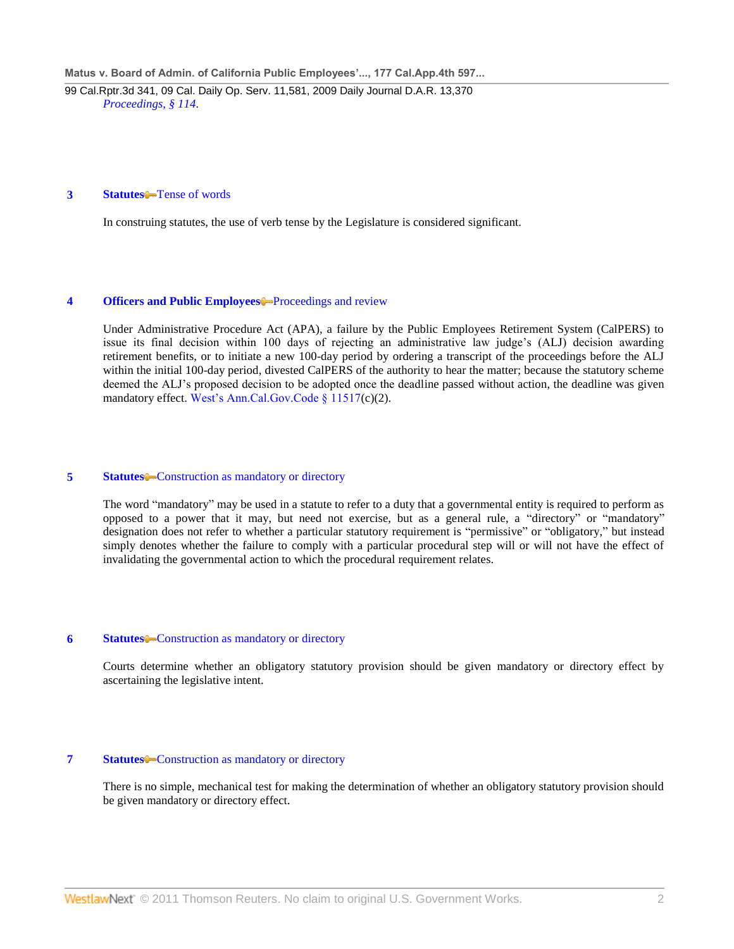99 Cal.Rptr.3d 341, 09 Cal. Daily Op. Serv. 11,581, 2009 Daily Journal D.A.R. 13,370 *[Proceedings, § 114.](http://www.westlaw.com/Link/Document/FullText?findType=Y&serNum=0289847633&pubNum=0155585&originationContext=document&vr=3.0&rs=cblt1.0&transitionType=DocumentItem&contextData=(sc.UserEnteredCitation))*

## **3 [Statutes](http://www.westlaw.com/Browse/Home/KeyNumber/361/View.html?docGuid=I824da0039ce611de8bf6cd8525c41437&originationContext=document&vr=3.0&rs=cblt1.0&transitionType=DocumentItem&contextData=(sc.UserEnteredCitation))** [Tense of words](http://www.westlaw.com/Browse/Home/KeyNumber/361k198/View.html?docGuid=I824da0039ce611de8bf6cd8525c41437&originationContext=document&vr=3.0&rs=cblt1.0&transitionType=DocumentItem&contextData=(sc.UserEnteredCitation))

In construing statutes, the use of verb tense by the Legislature is considered significant.

### **4 [Officers and Public Employees](http://www.westlaw.com/Browse/Home/KeyNumber/283/View.html?docGuid=I824da0039ce611de8bf6cd8525c41437&originationContext=document&vr=3.0&rs=cblt1.0&transitionType=DocumentItem&contextData=(sc.UserEnteredCitation))** [Proceedings and review](http://www.westlaw.com/Browse/Home/KeyNumber/283k101.5(2)/View.html?docGuid=I824da0039ce611de8bf6cd8525c41437&originationContext=document&vr=3.0&rs=cblt1.0&transitionType=DocumentItem&contextData=(sc.UserEnteredCitation))

Under Administrative Procedure Act (APA), a failure by the Public Employees Retirement System (CalPERS) to issue its final decision within 100 days of rejecting an administrative law judge's (ALJ) decision awarding retirement benefits, or to initiate a new 100-day period by ordering a transcript of the proceedings before the ALJ within the initial 100-day period, divested CalPERS of the authority to hear the matter; because the statutory scheme deemed the ALJ's proposed decision to be adopted once the deadline passed without action, the deadline was given mandatory effect. [West's Ann.Cal.Gov.Code § 11517\(](http://www.westlaw.com/Link/Document/FullText?findType=L&pubNum=1000211&cite=CAGTS11517&originatingDoc=I824da0039ce611de8bf6cd8525c41437&refType=LQ&originationContext=document&vr=3.0&rs=cblt1.0&transitionType=DocumentItem&contextData=(sc.UserEnteredCitation))c)(2).

## **5 [Statutes](http://www.westlaw.com/Browse/Home/KeyNumber/361/View.html?docGuid=I824da0039ce611de8bf6cd8525c41437&originationContext=document&vr=3.0&rs=cblt1.0&transitionType=DocumentItem&contextData=(sc.UserEnteredCitation))** [Construction as mandatory or directory](http://www.westlaw.com/Browse/Home/KeyNumber/361k227/View.html?docGuid=I824da0039ce611de8bf6cd8525c41437&originationContext=document&vr=3.0&rs=cblt1.0&transitionType=DocumentItem&contextData=(sc.UserEnteredCitation))

The word "mandatory" may be used in a statute to refer to a duty that a governmental entity is required to perform as opposed to a power that it may, but need not exercise, but as a general rule, a "directory" or "mandatory" designation does not refer to whether a particular statutory requirement is "permissive" or "obligatory," but instead simply denotes whether the failure to comply with a particular procedural step will or will not have the effect of invalidating the governmental action to which the procedural requirement relates.

### **6 [Statutes](http://www.westlaw.com/Browse/Home/KeyNumber/361/View.html?docGuid=I824da0039ce611de8bf6cd8525c41437&originationContext=document&vr=3.0&rs=cblt1.0&transitionType=DocumentItem&contextData=(sc.UserEnteredCitation))** [Construction as mandatory or directory](http://www.westlaw.com/Browse/Home/KeyNumber/361k227/View.html?docGuid=I824da0039ce611de8bf6cd8525c41437&originationContext=document&vr=3.0&rs=cblt1.0&transitionType=DocumentItem&contextData=(sc.UserEnteredCitation))

Courts determine whether an obligatory statutory provision should be given mandatory or directory effect by ascertaining the legislative intent.

# **7 [Statutes](http://www.westlaw.com/Browse/Home/KeyNumber/361/View.html?docGuid=I824da0039ce611de8bf6cd8525c41437&originationContext=document&vr=3.0&rs=cblt1.0&transitionType=DocumentItem&contextData=(sc.UserEnteredCitation))** [Construction as mandatory or directory](http://www.westlaw.com/Browse/Home/KeyNumber/361k227/View.html?docGuid=I824da0039ce611de8bf6cd8525c41437&originationContext=document&vr=3.0&rs=cblt1.0&transitionType=DocumentItem&contextData=(sc.UserEnteredCitation))

There is no simple, mechanical test for making the determination of whether an obligatory statutory provision should be given mandatory or directory effect.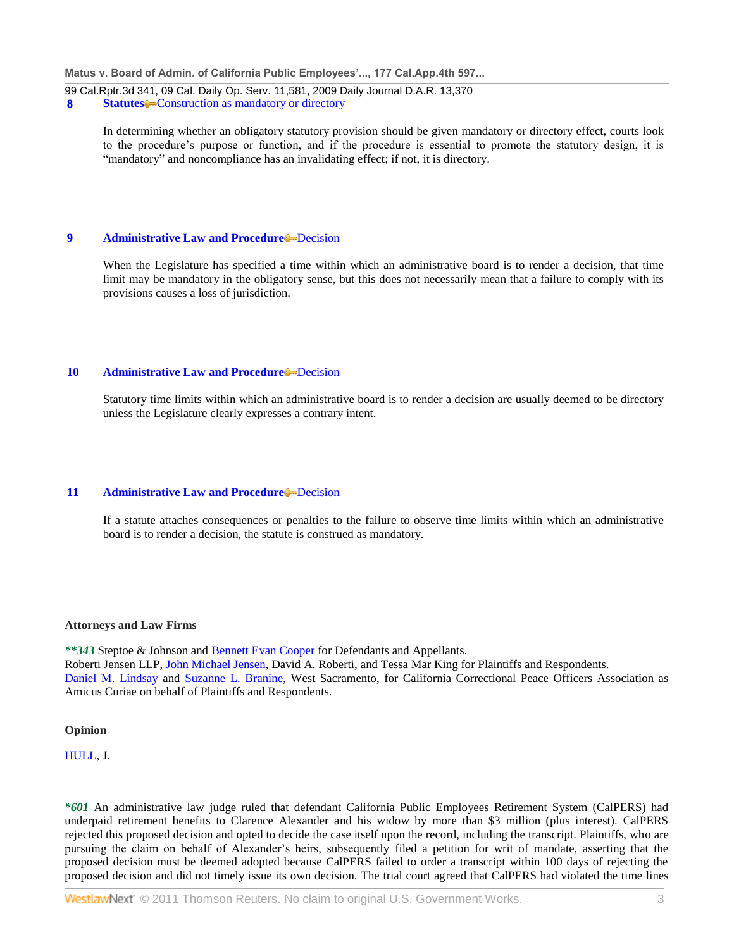99 Cal.Rptr.3d 341, 09 Cal. Daily Op. Serv. 11,581, 2009 Daily Journal D.A.R. 13,370 **8 [Statutes](http://www.westlaw.com/Browse/Home/KeyNumber/361/View.html?docGuid=I824da0039ce611de8bf6cd8525c41437&originationContext=document&vr=3.0&rs=cblt1.0&transitionType=DocumentItem&contextData=(sc.UserEnteredCitation))** [Construction as mandatory or directory](http://www.westlaw.com/Browse/Home/KeyNumber/361k227/View.html?docGuid=I824da0039ce611de8bf6cd8525c41437&originationContext=document&vr=3.0&rs=cblt1.0&transitionType=DocumentItem&contextData=(sc.UserEnteredCitation))

In determining whether an obligatory statutory provision should be given mandatory or directory effect, courts look to the procedure's purpose or function, and if the procedure is essential to promote the statutory design, it is "mandatory" and noncompliance has an invalidating effect; if not, it is directory.

## **9 [Administrative Law and Procedure](http://www.westlaw.com/Browse/Home/KeyNumber/15A/View.html?docGuid=I824da0039ce611de8bf6cd8525c41437&originationContext=document&vr=3.0&rs=cblt1.0&transitionType=DocumentItem&contextData=(sc.UserEnteredCitation))** [Decision](http://www.westlaw.com/Browse/Home/KeyNumber/15Ak489/View.html?docGuid=I824da0039ce611de8bf6cd8525c41437&originationContext=document&vr=3.0&rs=cblt1.0&transitionType=DocumentItem&contextData=(sc.UserEnteredCitation))

When the Legislature has specified a time within which an administrative board is to render a decision, that time limit may be mandatory in the obligatory sense, but this does not necessarily mean that a failure to comply with its provisions causes a loss of jurisdiction.

## **10 [Administrative Law and Procedure](http://www.westlaw.com/Browse/Home/KeyNumber/15A/View.html?docGuid=I824da0039ce611de8bf6cd8525c41437&originationContext=document&vr=3.0&rs=cblt1.0&transitionType=DocumentItem&contextData=(sc.UserEnteredCitation))** [Decision](http://www.westlaw.com/Browse/Home/KeyNumber/15Ak489/View.html?docGuid=I824da0039ce611de8bf6cd8525c41437&originationContext=document&vr=3.0&rs=cblt1.0&transitionType=DocumentItem&contextData=(sc.UserEnteredCitation))

Statutory time limits within which an administrative board is to render a decision are usually deemed to be directory unless the Legislature clearly expresses a contrary intent.

### **11 [Administrative Law and Procedure](http://www.westlaw.com/Browse/Home/KeyNumber/15A/View.html?docGuid=I824da0039ce611de8bf6cd8525c41437&originationContext=document&vr=3.0&rs=cblt1.0&transitionType=DocumentItem&contextData=(sc.UserEnteredCitation))** [Decision](http://www.westlaw.com/Browse/Home/KeyNumber/15Ak489/View.html?docGuid=I824da0039ce611de8bf6cd8525c41437&originationContext=document&vr=3.0&rs=cblt1.0&transitionType=DocumentItem&contextData=(sc.UserEnteredCitation))

If a statute attaches consequences or penalties to the failure to observe time limits within which an administrative board is to render a decision, the statute is construed as mandatory.

### **Attorneys and Law Firms**

*\*\*343* Steptoe & Johnson and [Bennett Evan Cooper](http://www.westlaw.com/Link/Document/FullText?findType=h&pubNum=176284&cite=0152621801&originatingDoc=I824da0039ce611de8bf6cd8525c41437&refType=RQ&originationContext=document&vr=3.0&rs=cblt1.0&transitionType=DocumentItem&contextData=(sc.UserEnteredCitation)) for Defendants and Appellants. Roberti Jensen LLP, [John Michael Jensen,](http://www.westlaw.com/Link/Document/FullText?findType=h&pubNum=176284&cite=0298534701&originatingDoc=I824da0039ce611de8bf6cd8525c41437&refType=RQ&originationContext=document&vr=3.0&rs=cblt1.0&transitionType=DocumentItem&contextData=(sc.UserEnteredCitation)) David A. Roberti, and Tessa Mar King for Plaintiffs and Respondents. [Daniel M. Lindsay](http://www.westlaw.com/Link/Document/FullText?findType=h&pubNum=176284&cite=0197066801&originatingDoc=I824da0039ce611de8bf6cd8525c41437&refType=RQ&originationContext=document&vr=3.0&rs=cblt1.0&transitionType=DocumentItem&contextData=(sc.UserEnteredCitation)) and [Suzanne L. Branine,](http://www.westlaw.com/Link/Document/FullText?findType=h&pubNum=176284&cite=0241849401&originatingDoc=I824da0039ce611de8bf6cd8525c41437&refType=RQ&originationContext=document&vr=3.0&rs=cblt1.0&transitionType=DocumentItem&contextData=(sc.UserEnteredCitation)) West Sacramento, for California Correctional Peace Officers Association as Amicus Curiae on behalf of Plaintiffs and Respondents.

### **Opinion**

[HULL,](http://www.westlaw.com/Link/Document/FullText?findType=h&pubNum=176284&cite=0201358401&originatingDoc=I824da0039ce611de8bf6cd8525c41437&refType=RQ&originationContext=document&vr=3.0&rs=cblt1.0&transitionType=DocumentItem&contextData=(sc.UserEnteredCitation)) J.

*\*601* An administrative law judge ruled that defendant California Public Employees Retirement System (CalPERS) had underpaid retirement benefits to Clarence Alexander and his widow by more than \$3 million (plus interest). CalPERS rejected this proposed decision and opted to decide the case itself upon the record, including the transcript. Plaintiffs, who are pursuing the claim on behalf of Alexander's heirs, subsequently filed a petition for writ of mandate, asserting that the proposed decision must be deemed adopted because CalPERS failed to order a transcript within 100 days of rejecting the proposed decision and did not timely issue its own decision. The trial court agreed that CalPERS had violated the time lines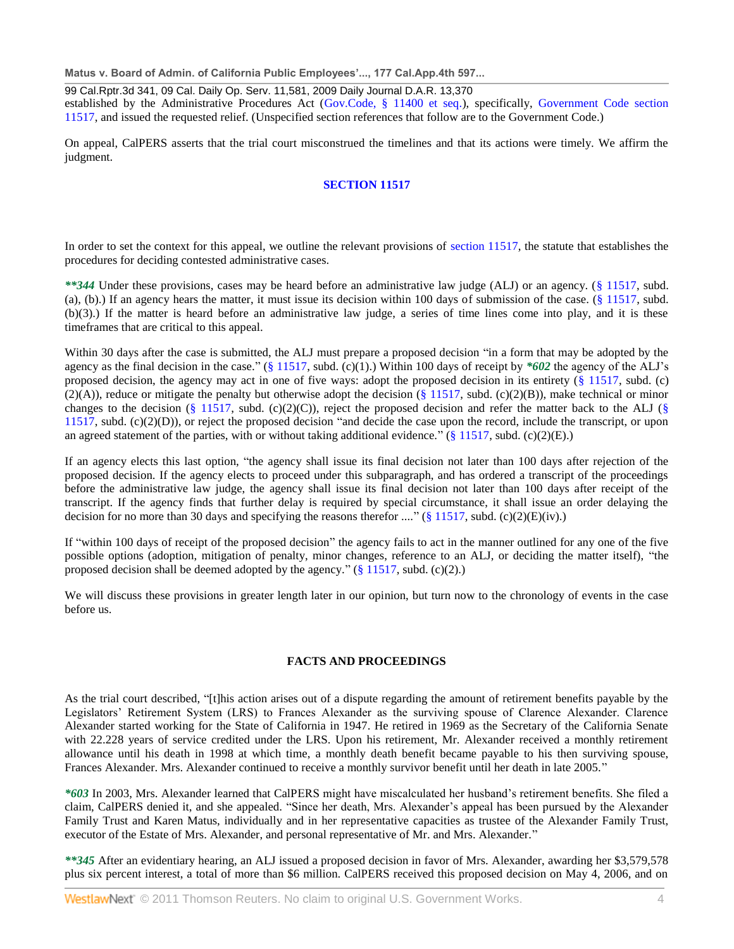99 Cal.Rptr.3d 341, 09 Cal. Daily Op. Serv. 11,581, 2009 Daily Journal D.A.R. 13,370

established by the Administrative Procedures Act [\(Gov.Code, § 11400 et seq.\)](http://www.westlaw.com/Link/Document/FullText?findType=L&pubNum=1000211&cite=CAGTS11400&originatingDoc=I824da0039ce611de8bf6cd8525c41437&refType=LQ&originationContext=document&vr=3.0&rs=cblt1.0&transitionType=DocumentItem&contextData=(sc.UserEnteredCitation)), specifically, [Government Code section](http://www.westlaw.com/Link/Document/FullText?findType=L&pubNum=1000211&cite=CAGTS11517&originatingDoc=I824da0039ce611de8bf6cd8525c41437&refType=LQ&originationContext=document&vr=3.0&rs=cblt1.0&transitionType=DocumentItem&contextData=(sc.UserEnteredCitation))  [11517,](http://www.westlaw.com/Link/Document/FullText?findType=L&pubNum=1000211&cite=CAGTS11517&originatingDoc=I824da0039ce611de8bf6cd8525c41437&refType=LQ&originationContext=document&vr=3.0&rs=cblt1.0&transitionType=DocumentItem&contextData=(sc.UserEnteredCitation)) and issued the requested relief. (Unspecified section references that follow are to the Government Code.)

On appeal, CalPERS asserts that the trial court misconstrued the timelines and that its actions were timely. We affirm the judgment.

## **[SECTION 11517](http://www.westlaw.com/Link/Document/FullText?findType=L&pubNum=1000211&cite=CAGTS11517&originatingDoc=I824da0039ce611de8bf6cd8525c41437&refType=LQ&originationContext=document&vr=3.0&rs=cblt1.0&transitionType=DocumentItem&contextData=(sc.UserEnteredCitation))**

In order to set the context for this appeal, we outline the relevant provisions of [section 11517,](http://www.westlaw.com/Link/Document/FullText?findType=L&pubNum=1000211&cite=CAGTS11517&originatingDoc=I824da0039ce611de8bf6cd8525c41437&refType=LQ&originationContext=document&vr=3.0&rs=cblt1.0&transitionType=DocumentItem&contextData=(sc.UserEnteredCitation)) the statute that establishes the procedures for deciding contested administrative cases.

*\*\*344* Under these provisions, cases may be heard before an administrative law judge (ALJ) or an agency. [\(§ 11517,](http://www.westlaw.com/Link/Document/FullText?findType=L&pubNum=1000211&cite=CAGTS11517&originatingDoc=I824da0039ce611de8bf6cd8525c41437&refType=LQ&originationContext=document&vr=3.0&rs=cblt1.0&transitionType=DocumentItem&contextData=(sc.UserEnteredCitation)) subd. (a), (b).) If an agency hears the matter, it must issue its decision within 100 days of submission of the case.  $(\S$  11517, subd. (b)(3).) If the matter is heard before an administrative law judge, a series of time lines come into play, and it is these timeframes that are critical to this appeal.

Within 30 days after the case is submitted, the ALJ must prepare a proposed decision "in a form that may be adopted by the agency as the final decision in the case." [\(§ 11517,](http://www.westlaw.com/Link/Document/FullText?findType=L&pubNum=1000211&cite=CAGTS11517&originatingDoc=I824da0039ce611de8bf6cd8525c41437&refType=LQ&originationContext=document&vr=3.0&rs=cblt1.0&transitionType=DocumentItem&contextData=(sc.UserEnteredCitation)) subd.  $(c)(1)$ .) Within 100 days of receipt by  $*602$  the agency of the ALJ's proposed decision, the agency may act in one of five ways: adopt the proposed decision in its entirety  $(\S 11517, \text{subd. } (c)$  $(2)(A)$ ), reduce or mitigate the penalty but otherwise adopt the decision [\(§ 11517,](http://www.westlaw.com/Link/Document/FullText?findType=L&pubNum=1000211&cite=CAGTS11517&originatingDoc=I824da0039ce611de8bf6cd8525c41437&refType=LQ&originationContext=document&vr=3.0&rs=cblt1.0&transitionType=DocumentItem&contextData=(sc.UserEnteredCitation)) subd. (c)(2)(B)), make technical or minor changes to the decision [\(§ 11517,](http://www.westlaw.com/Link/Document/FullText?findType=L&pubNum=1000211&cite=CAGTS11517&originatingDoc=I824da0039ce611de8bf6cd8525c41437&refType=LQ&originationContext=document&vr=3.0&rs=cblt1.0&transitionType=DocumentItem&contextData=(sc.UserEnteredCitation)) subd. (c)(2)(C)), reject the proposed decision and refer the matter back to the ALJ (§  $11517$ , subd. (c)(2)(D)), or reject the proposed decision "and decide the case upon the record, include the transcript, or upon an agreed statement of the parties, with or without taking additional evidence."  $(\S 11517, \text{subd. (c)(2)(E)})$ 

If an agency elects this last option, "the agency shall issue its final decision not later than 100 days after rejection of the proposed decision. If the agency elects to proceed under this subparagraph, and has ordered a transcript of the proceedings before the administrative law judge, the agency shall issue its final decision not later than 100 days after receipt of the transcript. If the agency finds that further delay is required by special circumstance, it shall issue an order delaying the decision for no more than 30 days and specifying the reasons therefor ...." [\(§ 11517,](http://www.westlaw.com/Link/Document/FullText?findType=L&pubNum=1000211&cite=CAGTS11517&originatingDoc=I824da0039ce611de8bf6cd8525c41437&refType=LQ&originationContext=document&vr=3.0&rs=cblt1.0&transitionType=DocumentItem&contextData=(sc.UserEnteredCitation)) subd. (c)(2)(E)(iv).)

If "within 100 days of receipt of the proposed decision" the agency fails to act in the manner outlined for any one of the five possible options (adoption, mitigation of penalty, minor changes, reference to an ALJ, or deciding the matter itself), "the proposed decision shall be deemed adopted by the agency." [\(§ 11517,](http://www.westlaw.com/Link/Document/FullText?findType=L&pubNum=1000211&cite=CAGTS11517&originatingDoc=I824da0039ce611de8bf6cd8525c41437&refType=LQ&originationContext=document&vr=3.0&rs=cblt1.0&transitionType=DocumentItem&contextData=(sc.UserEnteredCitation)) subd. (c)(2).)

We will discuss these provisions in greater length later in our opinion, but turn now to the chronology of events in the case before us.

## **FACTS AND PROCEEDINGS**

As the trial court described, "[t]his action arises out of a dispute regarding the amount of retirement benefits payable by the Legislators' Retirement System (LRS) to Frances Alexander as the surviving spouse of Clarence Alexander. Clarence Alexander started working for the State of California in 1947. He retired in 1969 as the Secretary of the California Senate with 22.228 years of service credited under the LRS. Upon his retirement, Mr. Alexander received a monthly retirement allowance until his death in 1998 at which time, a monthly death benefit became payable to his then surviving spouse, Frances Alexander. Mrs. Alexander continued to receive a monthly survivor benefit until her death in late 2005."

*\*603* In 2003, Mrs. Alexander learned that CalPERS might have miscalculated her husband's retirement benefits. She filed a claim, CalPERS denied it, and she appealed. "Since her death, Mrs. Alexander's appeal has been pursued by the Alexander Family Trust and Karen Matus, individually and in her representative capacities as trustee of the Alexander Family Trust, executor of the Estate of Mrs. Alexander, and personal representative of Mr. and Mrs. Alexander."

*\*\*345* After an evidentiary hearing, an ALJ issued a proposed decision in favor of Mrs. Alexander, awarding her \$3,579,578 plus six percent interest, a total of more than \$6 million. CalPERS received this proposed decision on May 4, 2006, and on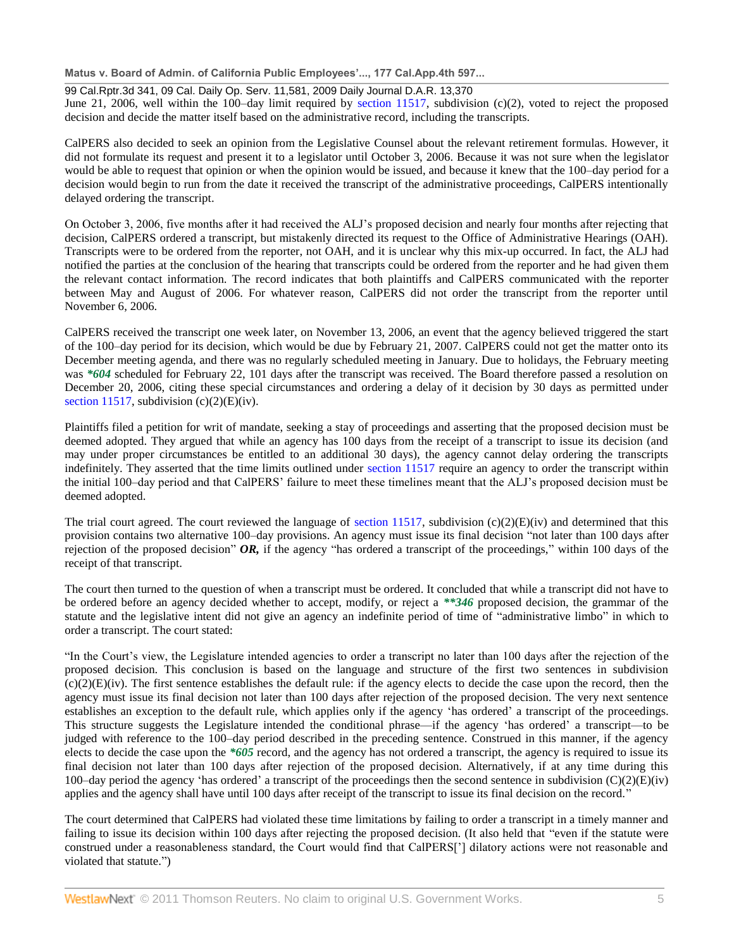99 Cal.Rptr.3d 341, 09 Cal. Daily Op. Serv. 11,581, 2009 Daily Journal D.A.R. 13,370

June 21, 2006, well within the 100–day limit required by [section 11517,](http://www.westlaw.com/Link/Document/FullText?findType=L&pubNum=1000211&cite=CAGTS11517&originatingDoc=I824da0039ce611de8bf6cd8525c41437&refType=LQ&originationContext=document&vr=3.0&rs=cblt1.0&transitionType=DocumentItem&contextData=(sc.UserEnteredCitation)) subdivision (c)(2), voted to reject the proposed decision and decide the matter itself based on the administrative record, including the transcripts.

CalPERS also decided to seek an opinion from the Legislative Counsel about the relevant retirement formulas. However, it did not formulate its request and present it to a legislator until October 3, 2006. Because it was not sure when the legislator would be able to request that opinion or when the opinion would be issued, and because it knew that the 100–day period for a decision would begin to run from the date it received the transcript of the administrative proceedings, CalPERS intentionally delayed ordering the transcript.

On October 3, 2006, five months after it had received the ALJ's proposed decision and nearly four months after rejecting that decision, CalPERS ordered a transcript, but mistakenly directed its request to the Office of Administrative Hearings (OAH). Transcripts were to be ordered from the reporter, not OAH, and it is unclear why this mix-up occurred. In fact, the ALJ had notified the parties at the conclusion of the hearing that transcripts could be ordered from the reporter and he had given them the relevant contact information. The record indicates that both plaintiffs and CalPERS communicated with the reporter between May and August of 2006. For whatever reason, CalPERS did not order the transcript from the reporter until November 6, 2006.

CalPERS received the transcript one week later, on November 13, 2006, an event that the agency believed triggered the start of the 100–day period for its decision, which would be due by February 21, 2007. CalPERS could not get the matter onto its December meeting agenda, and there was no regularly scheduled meeting in January. Due to holidays, the February meeting was *\*604* scheduled for February 22, 101 days after the transcript was received. The Board therefore passed a resolution on December 20, 2006, citing these special circumstances and ordering a delay of it decision by 30 days as permitted under [section 11517,](http://www.westlaw.com/Link/Document/FullText?findType=L&pubNum=1000211&cite=CAGTS11517&originatingDoc=I824da0039ce611de8bf6cd8525c41437&refType=LQ&originationContext=document&vr=3.0&rs=cblt1.0&transitionType=DocumentItem&contextData=(sc.UserEnteredCitation)) subdivision  $(c)(2)(E)(iv)$ .

Plaintiffs filed a petition for writ of mandate, seeking a stay of proceedings and asserting that the proposed decision must be deemed adopted. They argued that while an agency has 100 days from the receipt of a transcript to issue its decision (and may under proper circumstances be entitled to an additional 30 days), the agency cannot delay ordering the transcripts indefinitely. They asserted that the time limits outlined under [section 11517](http://www.westlaw.com/Link/Document/FullText?findType=L&pubNum=1000211&cite=CAGTS11517&originatingDoc=I824da0039ce611de8bf6cd8525c41437&refType=LQ&originationContext=document&vr=3.0&rs=cblt1.0&transitionType=DocumentItem&contextData=(sc.UserEnteredCitation)) require an agency to order the transcript within the initial 100–day period and that CalPERS' failure to meet these timelines meant that the ALJ's proposed decision must be deemed adopted.

The trial court agreed. The court reviewed the language of [section 11517,](http://www.westlaw.com/Link/Document/FullText?findType=L&pubNum=1000211&cite=CAGTS11517&originatingDoc=I824da0039ce611de8bf6cd8525c41437&refType=LQ&originationContext=document&vr=3.0&rs=cblt1.0&transitionType=DocumentItem&contextData=(sc.UserEnteredCitation)) subdivision  $(c)(2)(E)(iv)$  and determined that this provision contains two alternative 100–day provisions. An agency must issue its final decision "not later than 100 days after rejection of the proposed decision"  $OR$ , if the agency "has ordered a transcript of the proceedings," within 100 days of the receipt of that transcript.

The court then turned to the question of when a transcript must be ordered. It concluded that while a transcript did not have to be ordered before an agency decided whether to accept, modify, or reject a *\*\*346* proposed decision, the grammar of the statute and the legislative intent did not give an agency an indefinite period of time of "administrative limbo" in which to order a transcript. The court stated:

―In the Court's view, the Legislature intended agencies to order a transcript no later than 100 days after the rejection of the proposed decision. This conclusion is based on the language and structure of the first two sentences in subdivision  $(c)(2)(E)(iv)$ . The first sentence establishes the default rule: if the agency elects to decide the case upon the record, then the agency must issue its final decision not later than 100 days after rejection of the proposed decision. The very next sentence establishes an exception to the default rule, which applies only if the agency 'has ordered' a transcript of the proceedings. This structure suggests the Legislature intended the conditional phrase—if the agency 'has ordered' a transcript—to be judged with reference to the 100–day period described in the preceding sentence. Construed in this manner, if the agency elects to decide the case upon the *\*605* record, and the agency has not ordered a transcript, the agency is required to issue its final decision not later than 100 days after rejection of the proposed decision. Alternatively, if at any time during this 100–day period the agency 'has ordered' a transcript of the proceedings then the second sentence in subdivision  $(C)(2)(E)(iv)$ applies and the agency shall have until 100 days after receipt of the transcript to issue its final decision on the record."

The court determined that CalPERS had violated these time limitations by failing to order a transcript in a timely manner and failing to issue its decision within 100 days after rejecting the proposed decision. (It also held that "even if the statute were construed under a reasonableness standard, the Court would find that CalPERS['] dilatory actions were not reasonable and violated that statute."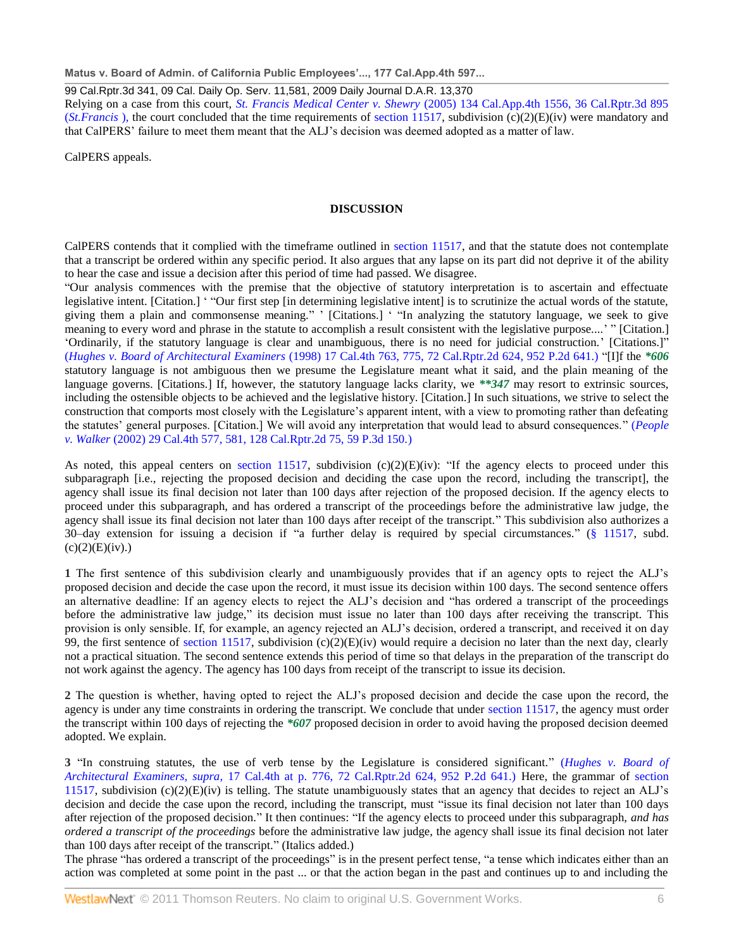99 Cal.Rptr.3d 341, 09 Cal. Daily Op. Serv. 11,581, 2009 Daily Journal D.A.R. 13,370

Relying on a case from this court, *St. Francis Medical Center v. Shewry* [\(2005\) 134 Cal.App.4th 1556, 36 Cal.Rptr.3d 895](http://www.westlaw.com/Link/Document/FullText?findType=Y&serNum=2007919409&pubNum=7047&originationContext=document&vr=3.0&rs=cblt1.0&transitionType=DocumentItem&contextData=(sc.UserEnteredCitation))  $(St. Francis)$ , the court concluded that the time requirements of [section 11517,](http://www.westlaw.com/Link/Document/FullText?findType=L&pubNum=1000211&cite=CAGTS11517&originatingDoc=I824da0039ce611de8bf6cd8525c41437&refType=LQ&originationContext=document&vr=3.0&rs=cblt1.0&transitionType=DocumentItem&contextData=(sc.UserEnteredCitation)) subdivision  $(c)(2)(E)(iv)$  were mandatory and that CalPERS' failure to meet them meant that the ALJ's decision was deemed adopted as a matter of law.

CalPERS appeals.

## **DISCUSSION**

CalPERS contends that it complied with the timeframe outlined in [section 11517,](http://www.westlaw.com/Link/Document/FullText?findType=L&pubNum=1000211&cite=CAGTS11517&originatingDoc=I824da0039ce611de8bf6cd8525c41437&refType=LQ&originationContext=document&vr=3.0&rs=cblt1.0&transitionType=DocumentItem&contextData=(sc.UserEnteredCitation)) and that the statute does not contemplate that a transcript be ordered within any specific period. It also argues that any lapse on its part did not deprive it of the ability to hear the case and issue a decision after this period of time had passed. We disagree.

―Our analysis commences with the premise that the objective of statutory interpretation is to ascertain and effectuate legislative intent. [Citation.] "Our first step [in determining legislative intent] is to scrutinize the actual words of the statute, giving them a plain and commonsense meaning." ' [Citations.] ' "In analyzing the statutory language, we seek to give meaning to every word and phrase in the statute to accomplish a result consistent with the legislative purpose....' " [Citation.] 'Ordinarily, if the statutory language is clear and unambiguous, there is no need for judicial construction.' [Citations.]" (*Hughes v. Board of Architectural Examiners* [\(1998\) 17 Cal.4th 763, 775, 72 Cal.Rptr.2d 624, 952 P.2d 641.\)](http://www.westlaw.com/Link/Document/FullText?findType=Y&serNum=1998077727&pubNum=661&originationContext=document&vr=3.0&rs=cblt1.0&transitionType=DocumentItem&contextData=(sc.UserEnteredCitation)) ―[I]f the *\*606* statutory language is not ambiguous then we presume the Legislature meant what it said, and the plain meaning of the language governs. [Citations.] If, however, the statutory language lacks clarity, we *\*\*347* may resort to extrinsic sources, including the ostensible objects to be achieved and the legislative history. [Citation.] In such situations, we strive to select the construction that comports most closely with the Legislature's apparent intent, with a view to promoting rather than defeating the statutes' general purposes. [Citation.] We will avoid any interpretation that would lead to absurd consequences.‖ (*[People](http://www.westlaw.com/Link/Document/FullText?findType=Y&serNum=2002772203&pubNum=4645&originationContext=document&vr=3.0&rs=cblt1.0&transitionType=DocumentItem&contextData=(sc.UserEnteredCitation))  v. Walker* [\(2002\) 29 Cal.4th 577, 581, 128 Cal.Rptr.2d 75, 59 P.3d 150.\)](http://www.westlaw.com/Link/Document/FullText?findType=Y&serNum=2002772203&pubNum=4645&originationContext=document&vr=3.0&rs=cblt1.0&transitionType=DocumentItem&contextData=(sc.UserEnteredCitation))

As noted, this appeal centers on [section 11517,](http://www.westlaw.com/Link/Document/FullText?findType=L&pubNum=1000211&cite=CAGTS11517&originatingDoc=I824da0039ce611de8bf6cd8525c41437&refType=LQ&originationContext=document&vr=3.0&rs=cblt1.0&transitionType=DocumentItem&contextData=(sc.UserEnteredCitation)) subdivision  $(c)(2)(E)(iv)$ : "If the agency elects to proceed under this subparagraph [i.e., rejecting the proposed decision and deciding the case upon the record, including the transcript], the agency shall issue its final decision not later than 100 days after rejection of the proposed decision. If the agency elects to proceed under this subparagraph, and has ordered a transcript of the proceedings before the administrative law judge, the agency shall issue its final decision not later than 100 days after receipt of the transcript." This subdivision also authorizes a 30–day extension for issuing a decision if "a further delay is required by special circumstances." [\(§ 11517,](http://www.westlaw.com/Link/Document/FullText?findType=L&pubNum=1000211&cite=CAGTS11517&originatingDoc=I824da0039ce611de8bf6cd8525c41437&refType=LQ&originationContext=document&vr=3.0&rs=cblt1.0&transitionType=DocumentItem&contextData=(sc.UserEnteredCitation)) subd.  $(c)(2)(E)(iv).$ 

**1** The first sentence of this subdivision clearly and unambiguously provides that if an agency opts to reject the ALJ's proposed decision and decide the case upon the record, it must issue its decision within 100 days. The second sentence offers an alternative deadline: If an agency elects to reject the ALJ's decision and "has ordered a transcript of the proceedings before the administrative law judge," its decision must issue no later than 100 days after receiving the transcript. This provision is only sensible. If, for example, an agency rejected an ALJ's decision, ordered a transcript, and received it on day 99, the first sentence of [section 11517,](http://www.westlaw.com/Link/Document/FullText?findType=L&pubNum=1000211&cite=CAGTS11517&originatingDoc=I824da0039ce611de8bf6cd8525c41437&refType=LQ&originationContext=document&vr=3.0&rs=cblt1.0&transitionType=DocumentItem&contextData=(sc.UserEnteredCitation)) subdivision  $(c)(2)(E)(iv)$  would require a decision no later than the next day, clearly not a practical situation. The second sentence extends this period of time so that delays in the preparation of the transcript do not work against the agency. The agency has 100 days from receipt of the transcript to issue its decision.

**2** The question is whether, having opted to reject the ALJ's proposed decision and decide the case upon the record, the agency is under any time constraints in ordering the transcript. We conclude that under [section 11517,](http://www.westlaw.com/Link/Document/FullText?findType=L&pubNum=1000211&cite=CAGTS11517&originatingDoc=I824da0039ce611de8bf6cd8525c41437&refType=LQ&originationContext=document&vr=3.0&rs=cblt1.0&transitionType=DocumentItem&contextData=(sc.UserEnteredCitation)) the agency must order the transcript within 100 days of rejecting the *\*607* proposed decision in order to avoid having the proposed decision deemed adopted. We explain.

**3** ―In construing statutes, the use of verb tense by the Legislature is considered significant.‖ (*[Hughes v. Board of](http://www.westlaw.com/Link/Document/FullText?findType=Y&serNum=1998077727&pubNum=661&originationContext=document&vr=3.0&rs=cblt1.0&transitionType=DocumentItem&contextData=(sc.UserEnteredCitation))  Architectural Examiners, supra,* [17 Cal.4th at p. 776, 72 Cal.Rptr.2d 624, 952 P.2d 641.\)](http://www.westlaw.com/Link/Document/FullText?findType=Y&serNum=1998077727&pubNum=661&originationContext=document&vr=3.0&rs=cblt1.0&transitionType=DocumentItem&contextData=(sc.UserEnteredCitation)) Here, the grammar of [section](http://www.westlaw.com/Link/Document/FullText?findType=L&pubNum=1000211&cite=CAGTS11517&originatingDoc=I824da0039ce611de8bf6cd8525c41437&refType=LQ&originationContext=document&vr=3.0&rs=cblt1.0&transitionType=DocumentItem&contextData=(sc.UserEnteredCitation))  [11517,](http://www.westlaw.com/Link/Document/FullText?findType=L&pubNum=1000211&cite=CAGTS11517&originatingDoc=I824da0039ce611de8bf6cd8525c41437&refType=LQ&originationContext=document&vr=3.0&rs=cblt1.0&transitionType=DocumentItem&contextData=(sc.UserEnteredCitation)) subdivision  $(c)(2)(E)(iv)$  is telling. The statute unambiguously states that an agency that decides to reject an ALJ's decision and decide the case upon the record, including the transcript, must "issue its final decision not later than 100 days after rejection of the proposed decision." It then continues: "If the agency elects to proceed under this subparagraph, *and has ordered a transcript of the proceedings* before the administrative law judge, the agency shall issue its final decision not later than 100 days after receipt of the transcript." (Italics added.)

The phrase "has ordered a transcript of the proceedings" is in the present perfect tense, "a tense which indicates either than an action was completed at some point in the past ... or that the action began in the past and continues up to and including the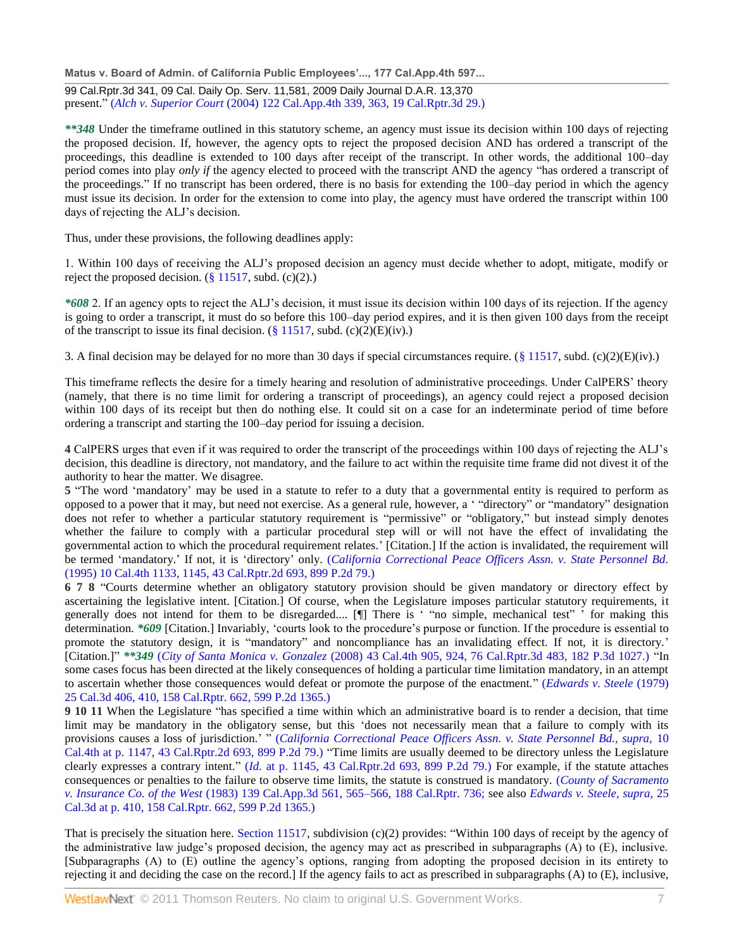99 Cal.Rptr.3d 341, 09 Cal. Daily Op. Serv. 11,581, 2009 Daily Journal D.A.R. 13,370 present.‖ (*Alch v. Superior Court* [\(2004\) 122 Cal.App.4th 339, 363, 19 Cal.Rptr.3d 29.\)](http://www.westlaw.com/Link/Document/FullText?findType=Y&serNum=2005093491&pubNum=7047&originationContext=document&vr=3.0&rs=cblt1.0&transitionType=DocumentItem&contextData=(sc.UserEnteredCitation))

*\*\*348* Under the timeframe outlined in this statutory scheme, an agency must issue its decision within 100 days of rejecting the proposed decision. If, however, the agency opts to reject the proposed decision AND has ordered a transcript of the proceedings, this deadline is extended to 100 days after receipt of the transcript. In other words, the additional 100–day period comes into play *only if* the agency elected to proceed with the transcript AND the agency "has ordered a transcript of the proceedings." If no transcript has been ordered, there is no basis for extending the 100–day period in which the agency must issue its decision. In order for the extension to come into play, the agency must have ordered the transcript within 100 days of rejecting the ALJ's decision.

Thus, under these provisions, the following deadlines apply:

1. Within 100 days of receiving the ALJ's proposed decision an agency must decide whether to adopt, mitigate, modify or reject the proposed decision.  $(\S 11517, \text{subd. (c)}(2))$ .

*\*608* 2. If an agency opts to reject the ALJ's decision, it must issue its decision within 100 days of its rejection. If the agency is going to order a transcript, it must do so before this 100–day period expires, and it is then given 100 days from the receipt of the transcript to issue its final decision. ( $\frac{8}{11517}$ , subd. (c)(2)(E)(iv).)

3. A final decision may be delayed for no more than 30 days if special circumstances require. [\(§ 11517,](http://www.westlaw.com/Link/Document/FullText?findType=L&pubNum=1000211&cite=CAGTS11517&originatingDoc=I824da0039ce611de8bf6cd8525c41437&refType=LQ&originationContext=document&vr=3.0&rs=cblt1.0&transitionType=DocumentItem&contextData=(sc.UserEnteredCitation)) subd.  $(c)(2)(E)(iv)$ .)

This timeframe reflects the desire for a timely hearing and resolution of administrative proceedings. Under CalPERS' theory (namely, that there is no time limit for ordering a transcript of proceedings), an agency could reject a proposed decision within 100 days of its receipt but then do nothing else. It could sit on a case for an indeterminate period of time before ordering a transcript and starting the 100–day period for issuing a decision.

**4** CalPERS urges that even if it was required to order the transcript of the proceedings within 100 days of rejecting the ALJ's decision, this deadline is directory, not mandatory, and the failure to act within the requisite time frame did not divest it of the authority to hear the matter. We disagree.

5 "The word 'mandatory' may be used in a statute to refer to a duty that a governmental entity is required to perform as opposed to a power that it may, but need not exercise. As a general rule, however, a ' "directory" or "mandatory" designation does not refer to whether a particular statutory requirement is "permissive" or "obligatory," but instead simply denotes whether the failure to comply with a particular procedural step will or will not have the effect of invalidating the governmental action to which the procedural requirement relates.' [Citation.] If the action is invalidated, the requirement will be termed ‗mandatory.' If not, it is ‗directory' only. (*[California Correctional Peace Officers Assn. v. State Personnel Bd.](http://www.westlaw.com/Link/Document/FullText?findType=Y&serNum=1995169134&pubNum=661&originationContext=document&vr=3.0&rs=cblt1.0&transitionType=DocumentItem&contextData=(sc.UserEnteredCitation))* [\(1995\) 10 Cal.4th 1133, 1145, 43 Cal.Rptr.2d 693, 899 P.2d 79.\)](http://www.westlaw.com/Link/Document/FullText?findType=Y&serNum=1995169134&pubNum=661&originationContext=document&vr=3.0&rs=cblt1.0&transitionType=DocumentItem&contextData=(sc.UserEnteredCitation))

**6 7 8** "Courts determine whether an obligatory statutory provision should be given mandatory or directory effect by ascertaining the legislative intent. [Citation.] Of course, when the Legislature imposes particular statutory requirements, it generally does not intend for them to be disregarded....  $[\n\P$  There is ' "no simple, mechanical test" <sup>'</sup> for making this determination. *\*609* [Citation.] Invariably, 'courts look to the procedure's purpose or function. If the procedure is essential to promote the statutory design, it is "mandatory" and noncompliance has an invalidating effect. If not, it is directory.' [Citation.]‖ *\*\*349* (*City of Santa Monica v. Gonzalez* [\(2008\) 43 Cal.4th 905, 924, 76 Cal.Rptr.3d 483, 182 P.3d 1027.\)](http://www.westlaw.com/Link/Document/FullText?findType=Y&serNum=2016122907&pubNum=4645&originationContext=document&vr=3.0&rs=cblt1.0&transitionType=DocumentItem&contextData=(sc.UserEnteredCitation)) ―In some cases focus has been directed at the likely consequences of holding a particular time limitation mandatory, in an attempt to ascertain whether those consequences would defeat or promote the purpose of the enactment." (*[Edwards v. Steele](http://www.westlaw.com/Link/Document/FullText?findType=Y&serNum=1979125647&pubNum=661&originationContext=document&vr=3.0&rs=cblt1.0&transitionType=DocumentItem&contextData=(sc.UserEnteredCitation))* (1979) [25 Cal.3d 406, 410, 158 Cal.Rptr. 662, 599 P.2d 1365.\)](http://www.westlaw.com/Link/Document/FullText?findType=Y&serNum=1979125647&pubNum=661&originationContext=document&vr=3.0&rs=cblt1.0&transitionType=DocumentItem&contextData=(sc.UserEnteredCitation))

**9 10 11** When the Legislature "has specified a time within which an administrative board is to render a decision, that time limit may be mandatory in the obligatory sense, but this 'does not necessarily mean that a failure to comply with its provisions causes a loss of jurisdiction.' " (*[California Correctional Peace Officers Assn. v. State Personnel Bd., supra,](http://www.westlaw.com/Link/Document/FullText?findType=Y&serNum=1995169134&pubNum=661&originationContext=document&vr=3.0&rs=cblt1.0&transitionType=DocumentItem&contextData=(sc.UserEnteredCitation)) 10* [Cal.4th at p. 1147, 43 Cal.Rptr.2d 693, 899 P.2d 79.\)](http://www.westlaw.com/Link/Document/FullText?findType=Y&serNum=1995169134&pubNum=661&originationContext=document&vr=3.0&rs=cblt1.0&transitionType=DocumentItem&contextData=(sc.UserEnteredCitation)) "Time limits are usually deemed to be directory unless the Legislature clearly expresses a contrary intent." (*Id.* [at p. 1145, 43 Cal.Rptr.2d 693, 899 P.2d 79.\)](http://www.westlaw.com/Link/Document/FullText?findType=Y&serNum=1995169134&pubNum=661&originationContext=document&vr=3.0&rs=cblt1.0&transitionType=DocumentItem&contextData=(sc.UserEnteredCitation)) For example, if the statute attaches consequences or penalties to the failure to observe time limits, the statute is construed is mandatory. (*[County of Sacramento](http://www.westlaw.com/Link/Document/FullText?findType=Y&serNum=1983105315&pubNum=227&originationContext=document&vr=3.0&rs=cblt1.0&transitionType=DocumentItem&contextData=(sc.UserEnteredCitation))  v. Insurance Co. of the West* [\(1983\) 139 Cal.App.3d 561, 565–566, 188 Cal.Rptr. 736;](http://www.westlaw.com/Link/Document/FullText?findType=Y&serNum=1983105315&pubNum=227&originationContext=document&vr=3.0&rs=cblt1.0&transitionType=DocumentItem&contextData=(sc.UserEnteredCitation)) see also *[Edwards v. Steele, supra,](http://www.westlaw.com/Link/Document/FullText?findType=Y&serNum=1979125647&pubNum=661&originationContext=document&vr=3.0&rs=cblt1.0&transitionType=DocumentItem&contextData=(sc.UserEnteredCitation))* 25 [Cal.3d at p. 410, 158 Cal.Rptr. 662, 599 P.2d 1365.\)](http://www.westlaw.com/Link/Document/FullText?findType=Y&serNum=1979125647&pubNum=661&originationContext=document&vr=3.0&rs=cblt1.0&transitionType=DocumentItem&contextData=(sc.UserEnteredCitation))

That is precisely the situation here. [Section 11517,](http://www.westlaw.com/Link/Document/FullText?findType=L&pubNum=1000211&cite=CAGTS11517&originatingDoc=I824da0039ce611de8bf6cd8525c41437&refType=LQ&originationContext=document&vr=3.0&rs=cblt1.0&transitionType=DocumentItem&contextData=(sc.UserEnteredCitation)) subdivision  $(c)(2)$  provides: "Within 100 days of receipt by the agency of the administrative law judge's proposed decision, the agency may act as prescribed in subparagraphs (A) to (E), inclusive. [Subparagraphs (A) to (E) outline the agency's options, ranging from adopting the proposed decision in its entirety to rejecting it and deciding the case on the record.] If the agency fails to act as prescribed in subparagraphs (A) to (E), inclusive,